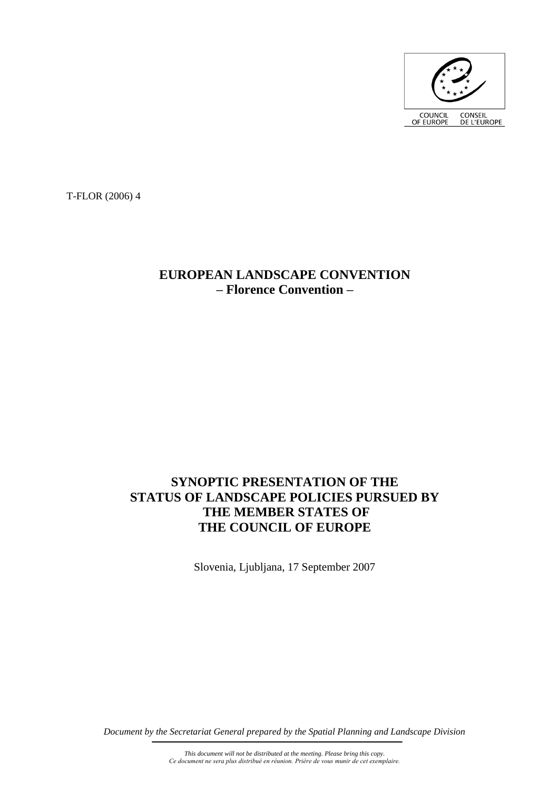

T-FLOR (2006) 4

# **EUROPEAN LANDSCAPE CONVENTION – Florence Convention –**

# **SYNOPTIC PRESENTATION OF THE STATUS OF LANDSCAPE POLICIES PURSUED BY THE MEMBER STATES OF THE COUNCIL OF EUROPE**

Slovenia, Ljubljana, 17 September 2007

*Document by the Secretariat General prepared by the Spatial Planning and Landscape Division*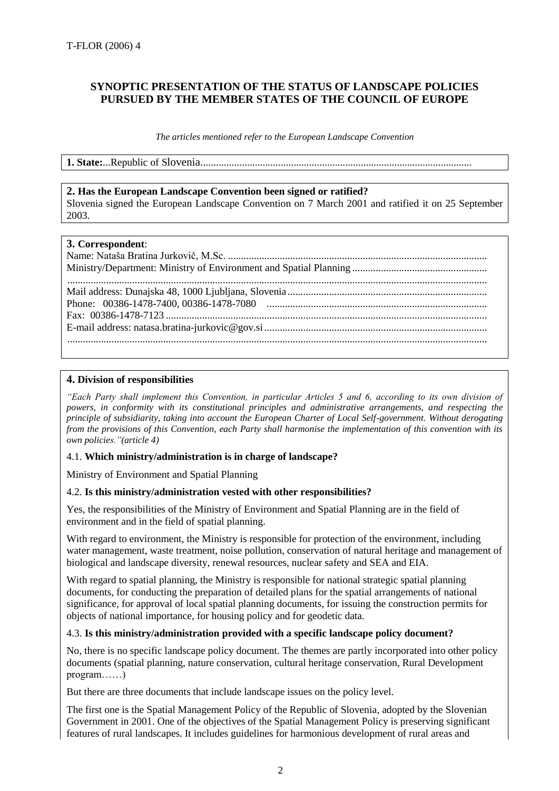# **SYNOPTIC PRESENTATION OF THE STATUS OF LANDSCAPE POLICIES PURSUED BY THE MEMBER STATES OF THE COUNCIL OF EUROPE**

*The articles mentioned refer to the European Landscape Convention*

**1. State:**...Republic of Slovenia.........................................................................................................

#### **2. Has the European Landscape Convention been signed or ratified?**

Slovenia signed the European Landscape Convention on 7 March 2001 and ratified it on 25 September 2003.

# **3. Correspondent**:

| <b>J.</b> COLLESPOILUEIIL. |
|----------------------------|
|                            |
|                            |
|                            |
|                            |
|                            |
|                            |
|                            |
|                            |
|                            |

### **4. Division of responsibilities**

*"Each Party shall implement this Convention, in particular Articles 5 and 6, according to its own division of powers, in conformity with its constitutional principles and administrative arrangements, and respecting the principle of subsidiarity, taking into account the European Charter of Local Self-government. Without derogating from the provisions of this Convention, each Party shall harmonise the implementation of this convention with its own policies."(article 4)*

### 4.1. **Which ministry/administration is in charge of landscape?**

Ministry of Environment and Spatial Planning

# 4.2. **Is this ministry/administration vested with other responsibilities?**

Yes, the responsibilities of the Ministry of Environment and Spatial Planning are in the field of environment and in the field of spatial planning.

With regard to environment, the Ministry is responsible for protection of the environment, including water management, waste treatment, noise pollution, conservation of natural heritage and management of biological and landscape diversity, renewal resources, nuclear safety and SEA and EIA.

With regard to spatial planning, the Ministry is responsible for national strategic spatial planning documents, for conducting the preparation of detailed plans for the spatial arrangements of national significance, for approval of local spatial planning documents, for issuing the construction permits for objects of national importance, for housing policy and for geodetic data.

### 4.3. **Is this ministry/administration provided with a specific landscape policy document?**

No, there is no specific landscape policy document. The themes are partly incorporated into other policy documents (spatial planning, nature conservation, cultural heritage conservation, Rural Development program……)

But there are three documents that include landscape issues on the policy level.

The first one is the Spatial Management Policy of the Republic of Slovenia, adopted by the Slovenian Government in 2001. One of the objectives of the Spatial Management Policy is preserving significant features of rural landscapes. It includes guidelines for harmonious development of rural areas and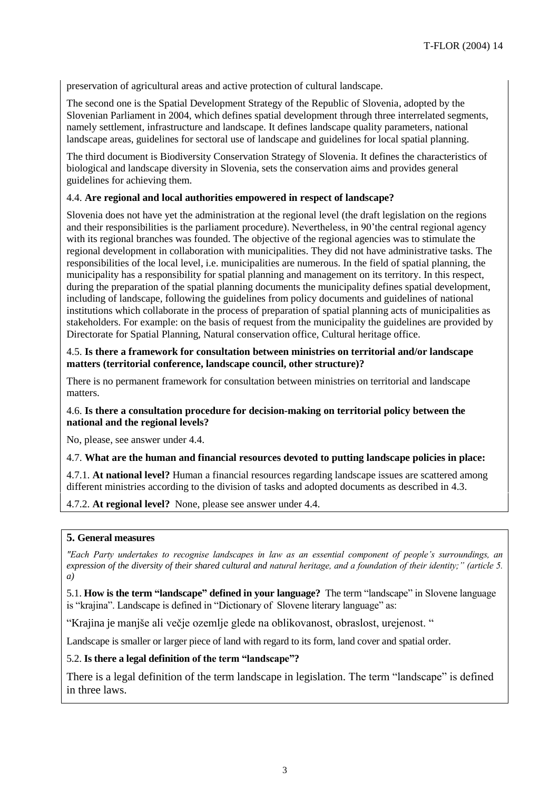preservation of agricultural areas and active protection of cultural landscape.

The second one is the Spatial Development Strategy of the Republic of Slovenia, adopted by the Slovenian Parliament in 2004, which defines spatial development through three interrelated segments, namely settlement, infrastructure and landscape. It defines landscape quality parameters, national landscape areas, guidelines for sectoral use of landscape and guidelines for local spatial planning.

The third document is Biodiversity Conservation Strategy of Slovenia. It defines the characteristics of biological and landscape diversity in Slovenia, sets the conservation aims and provides general guidelines for achieving them.

# 4.4. **Are regional and local authorities empowered in respect of landscape?**

Slovenia does not have yet the administration at the regional level (the draft legislation on the regions and their responsibilities is the parliament procedure). Nevertheless, in 90'the central regional agency with its regional branches was founded. The objective of the regional agencies was to stimulate the regional development in collaboration with municipalities. They did not have administrative tasks. The responsibilities of the local level, i.e. municipalities are numerous. In the field of spatial planning, the municipality has a responsibility for spatial planning and management on its territory. In this respect, during the preparation of the spatial planning documents the municipality defines spatial development, including of landscape, following the guidelines from policy documents and guidelines of national institutions which collaborate in the process of preparation of spatial planning acts of municipalities as stakeholders. For example: on the basis of request from the municipality the guidelines are provided by Directorate for Spatial Planning, Natural conservation office, Cultural heritage office.

### 4.5. **Is there a framework for consultation between ministries on territorial and/or landscape matters (territorial conference, landscape council, other structure)?**

There is no permanent framework for consultation between ministries on territorial and landscape matters.

# 4.6. **Is there a consultation procedure for decision-making on territorial policy between the national and the regional levels?**

No, please, see answer under 4.4.

### 4.7. **What are the human and financial resources devoted to putting landscape policies in place:**

4.7.1. **At national level?** Human a financial resources regarding landscape issues are scattered among different ministries according to the division of tasks and adopted documents as described in 4.3.

# 4.7.2. **At regional level?** None, please see answer under 4.4.

# **5. General measures**

*"Each Party undertakes to recognise landscapes in law as an essential component of people's surroundings, an expression of the diversity of their shared cultural and natural heritage, and a foundation of their identity;" (article 5. a)*

5.1. **How is the term "landscape" defined in your language?** The term "landscape" in Slovene language is "krajina". Landscape is defined in "Dictionary of Slovene literary language" as:

"Krajina je manjše ali večje ozemlje glede na oblikovanost, obraslost, urejenost. "

Landscape is smaller or larger piece of land with regard to its form, land cover and spatial order.

### 5.2. **Is there a legal definition of the term "landscape"?**

There is a legal definition of the term landscape in legislation. The term "landscape" is defined in three laws.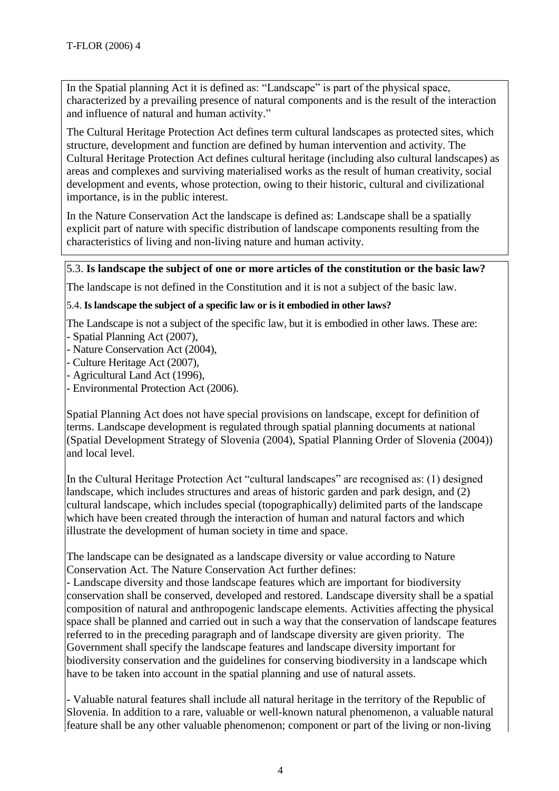In the Spatial planning Act it is defined as: "Landscape" is part of the physical space, characterized by a prevailing presence of natural components and is the result of the interaction and influence of natural and human activity."

The Cultural Heritage Protection Act defines term cultural landscapes as protected sites, which structure, development and function are defined by human intervention and activity. The Cultural Heritage Protection Act defines cultural heritage (including also cultural landscapes) as areas and complexes and surviving materialised works as the result of human creativity, social development and events, whose protection, owing to their historic, cultural and civilizational importance, is in the public interest.

In the Nature Conservation Act the landscape is defined as: Landscape shall be a spatially explicit part of nature with specific distribution of landscape components resulting from the characteristics of living and non-living nature and human activity.

# 5.3. **Is landscape the subject of one or more articles of the constitution or the basic law?**

The landscape is not defined in the Constitution and it is not a subject of the basic law.

# 5.4. **Is landscape the subject of a specific law or is it embodied in other laws?**

The Landscape is not a subject of the specific law, but it is embodied in other laws. These are: - Spatial Planning Act (2007),

- Nature Conservation Act (2004),

- Culture Heritage Act (2007),

- Agricultural Land Act (1996),

- Environmental Protection Act (2006).

Spatial Planning Act does not have special provisions on landscape, except for definition of terms. Landscape development is regulated through spatial planning documents at national (Spatial Development Strategy of Slovenia (2004), Spatial Planning Order of Slovenia (2004)) and local level.

In the Cultural Heritage Protection Act "cultural landscapes" are recognised as: (1) designed landscape, which includes structures and areas of historic garden and park design, and (2) cultural landscape, which includes special (topographically) delimited parts of the landscape which have been created through the interaction of human and natural factors and which illustrate the development of human society in time and space.

The landscape can be designated as a landscape diversity or value according to Nature Conservation Act. The Nature Conservation Act further defines:

- Landscape diversity and those landscape features which are important for biodiversity conservation shall be conserved, developed and restored. Landscape diversity shall be a spatial composition of natural and anthropogenic landscape elements. Activities affecting the physical space shall be planned and carried out in such a way that the conservation of landscape features referred to in the preceding paragraph and of landscape diversity are given priority. The Government shall specify the landscape features and landscape diversity important for biodiversity conservation and the guidelines for conserving biodiversity in a landscape which have to be taken into account in the spatial planning and use of natural assets.

- Valuable natural features shall include all natural heritage in the territory of the Republic of Slovenia. In addition to a rare, valuable or well-known natural phenomenon, a valuable natural feature shall be any other valuable phenomenon; component or part of the living or non-living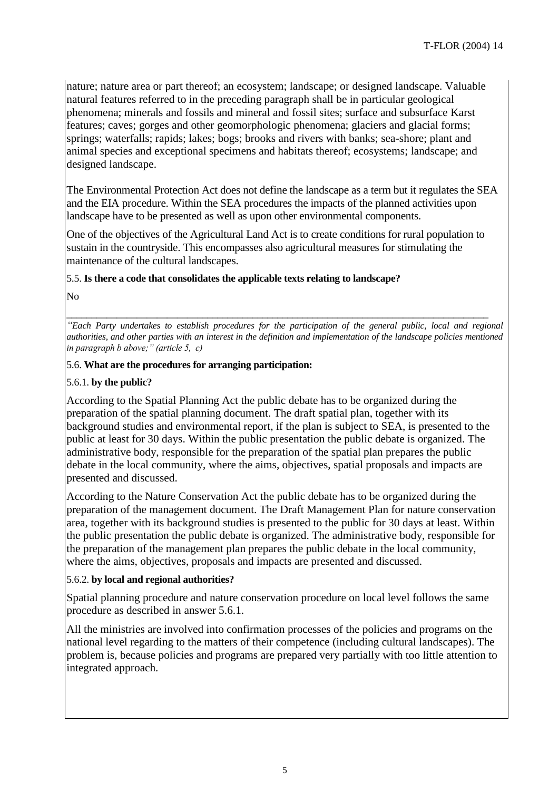nature; nature area or part thereof; an ecosystem; landscape; or designed landscape. Valuable natural features referred to in the preceding paragraph shall be in particular geological phenomena; minerals and fossils and mineral and fossil sites; surface and subsurface Karst features; caves; gorges and other geomorphologic phenomena; glaciers and glacial forms; springs; waterfalls; rapids; lakes; bogs; brooks and rivers with banks; sea-shore; plant and animal species and exceptional specimens and habitats thereof; ecosystems; landscape; and designed landscape.

The Environmental Protection Act does not define the landscape as a term but it regulates the SEA and the EIA procedure. Within the SEA procedures the impacts of the planned activities upon landscape have to be presented as well as upon other environmental components.

One of the objectives of the Agricultural Land Act is to create conditions for rural population to sustain in the countryside. This encompasses also agricultural measures for stimulating the maintenance of the cultural landscapes.

5.5. **Is there a code that consolidates the applicable texts relating to landscape?** 

 $N<sub>0</sub>$ 

*"Each Party undertakes to establish procedures for the participation of the general public, local and regional authorities, and other parties with an interest in the definition and implementation of the landscape policies mentioned in paragraph b above;" (article 5, c)*

\_\_\_\_\_\_\_\_\_\_\_\_\_\_\_\_\_\_\_\_\_\_\_\_\_\_\_\_\_\_\_\_\_\_\_\_\_\_\_\_\_\_\_\_\_\_\_\_\_\_\_\_\_\_\_\_\_\_\_\_\_\_\_\_\_\_\_\_\_\_\_\_\_\_\_\_\_\_\_\_\_\_\_\_

# 5.6. **What are the procedures for arranging participation:**

# 5.6.1. **by the public?**

According to the Spatial Planning Act the public debate has to be organized during the preparation of the spatial planning document. The draft spatial plan, together with its background studies and environmental report, if the plan is subject to SEA, is presented to the public at least for 30 days. Within the public presentation the public debate is organized. The administrative body, responsible for the preparation of the spatial plan prepares the public debate in the local community, where the aims, objectives, spatial proposals and impacts are presented and discussed.

According to the Nature Conservation Act the public debate has to be organized during the preparation of the management document. The Draft Management Plan for nature conservation area, together with its background studies is presented to the public for 30 days at least. Within the public presentation the public debate is organized. The administrative body, responsible for the preparation of the management plan prepares the public debate in the local community, where the aims, objectives, proposals and impacts are presented and discussed.

# 5.6.2. **by local and regional authorities?**

Spatial planning procedure and nature conservation procedure on local level follows the same procedure as described in answer 5.6.1.

All the ministries are involved into confirmation processes of the policies and programs on the national level regarding to the matters of their competence (including cultural landscapes). The problem is, because policies and programs are prepared very partially with too little attention to integrated approach.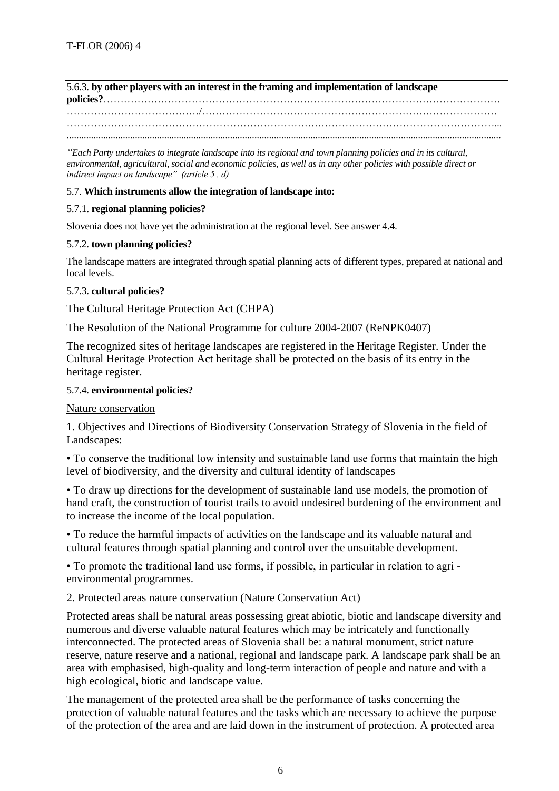5.6.3. **by other players with an interest in the framing and implementation of landscape policies?**………………………………………………………………………………………………………

…………………………………/…………………………………………………………………………… ………………………………………………………………………………………………………………...

..................................................................................................................................................................................

*"Each Party undertakes to integrate landscape into its regional and town planning policies and in its cultural, environmental, agricultural, social and economic policies, as well as in any other policies with possible direct or indirect impact on landscape" (article 5 , d)*

# 5.7. **Which instruments allow the integration of landscape into:**

# 5.7.1. **regional planning policies?**

Slovenia does not have yet the administration at the regional level. See answer 4.4.

# 5.7.2. **town planning policies?**

The landscape matters are integrated through spatial planning acts of different types, prepared at national and local levels.

# 5.7.3. **cultural policies?**

The Cultural Heritage Protection Act (CHPA)

The Resolution of the National Programme for culture 2004-2007 (ReNPK0407)

The recognized sites of heritage landscapes are registered in the Heritage Register. Under the Cultural Heritage Protection Act heritage shall be protected on the basis of its entry in the heritage register.

### 5.7.4. **environmental policies?**

Nature conservation

1. Objectives and Directions of Biodiversity Conservation Strategy of Slovenia in the field of Landscapes:

• To conserve the traditional low intensity and sustainable land use forms that maintain the high level of biodiversity, and the diversity and cultural identity of landscapes

• To draw up directions for the development of sustainable land use models, the promotion of hand craft, the construction of tourist trails to avoid undesired burdening of the environment and to increase the income of the local population.

• To reduce the harmful impacts of activities on the landscape and its valuable natural and cultural features through spatial planning and control over the unsuitable development.

• To promote the traditional land use forms, if possible, in particular in relation to agri environmental programmes.

2. Protected areas nature conservation (Nature Conservation Act)

Protected areas shall be natural areas possessing great abiotic, biotic and landscape diversity and numerous and diverse valuable natural features which may be intricately and functionally interconnected. The protected areas of Slovenia shall be: a natural monument, strict nature reserve, nature reserve and a national, regional and landscape park. A landscape park shall be an area with emphasised, high-quality and long-term interaction of people and nature and with a high ecological, biotic and landscape value.

The management of the protected area shall be the performance of tasks concerning the protection of valuable natural features and the tasks which are necessary to achieve the purpose of the protection of the area and are laid down in the instrument of protection. A protected area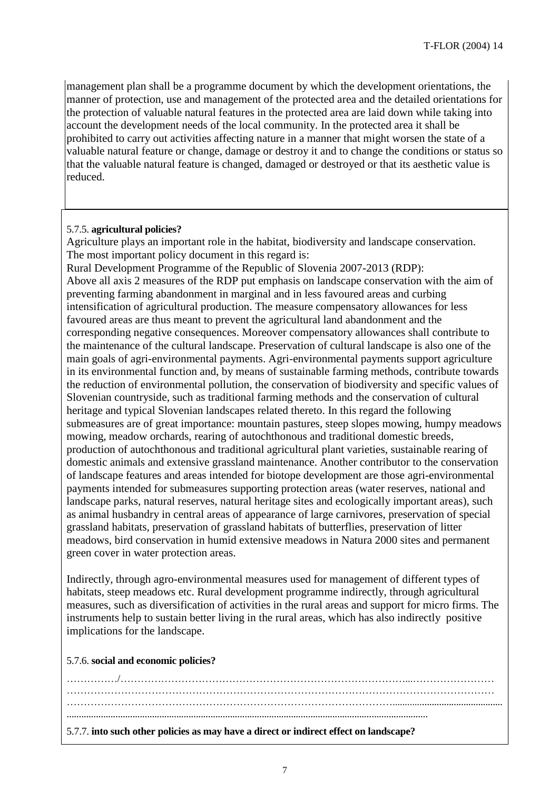management plan shall be a programme document by which the development orientations, the manner of protection, use and management of the protected area and the detailed orientations for the protection of valuable natural features in the protected area are laid down while taking into account the development needs of the local community. In the protected area it shall be prohibited to carry out activities affecting nature in a manner that might worsen the state of a valuable natural feature or change, damage or destroy it and to change the conditions or status so that the valuable natural feature is changed, damaged or destroyed or that its aesthetic value is reduced.

5.7.5. **agricultural policies?**

Agriculture plays an important role in the habitat, biodiversity and landscape conservation. The most important policy document in this regard is:

Rural Development Programme of the Republic of Slovenia 2007-2013 (RDP): Above all axis 2 measures of the RDP put emphasis on landscape conservation with the aim of preventing farming abandonment in marginal and in less favoured areas and curbing intensification of agricultural production. The measure compensatory allowances for less favoured areas are thus meant to prevent the agricultural land abandonment and the corresponding negative consequences. Moreover compensatory allowances shall contribute to the maintenance of the cultural landscape. Preservation of cultural landscape is also one of the main goals of agri-environmental payments. Agri-environmental payments support agriculture in its environmental function and, by means of sustainable farming methods, contribute towards the reduction of environmental pollution, the conservation of biodiversity and specific values of Slovenian countryside, such as traditional farming methods and the conservation of cultural heritage and typical Slovenian landscapes related thereto. In this regard the following submeasures are of great importance: mountain pastures, steep slopes mowing, humpy meadows mowing, meadow orchards, rearing of autochthonous and traditional domestic breeds, production of autochthonous and traditional agricultural plant varieties, sustainable rearing of domestic animals and extensive grassland maintenance. Another contributor to the conservation of landscape features and areas intended for biotope development are those agri-environmental payments intended for submeasures supporting protection areas (water reserves, national and landscape parks, natural reserves, natural heritage sites and ecologically important areas), such as animal husbandry in central areas of appearance of large carnivores, preservation of special grassland habitats, preservation of grassland habitats of butterflies, preservation of litter meadows, bird conservation in humid extensive meadows in Natura 2000 sites and permanent green cover in water protection areas.

Indirectly, through agro-environmental measures used for management of different types of habitats, steep meadows etc. Rural development programme indirectly, through agricultural measures, such as diversification of activities in the rural areas and support for micro firms. The instruments help to sustain better living in the rural areas, which has also indirectly positive implications for the landscape.

5.7.6. **social and economic policies?**  $\overline{a}$ ……………………………………………………………………………………………………………… ……………………………………………………………………………………............................................. .................................................................................................................................................... 5.7.7. **into such other policies as may have a direct or indirect effect on landscape?**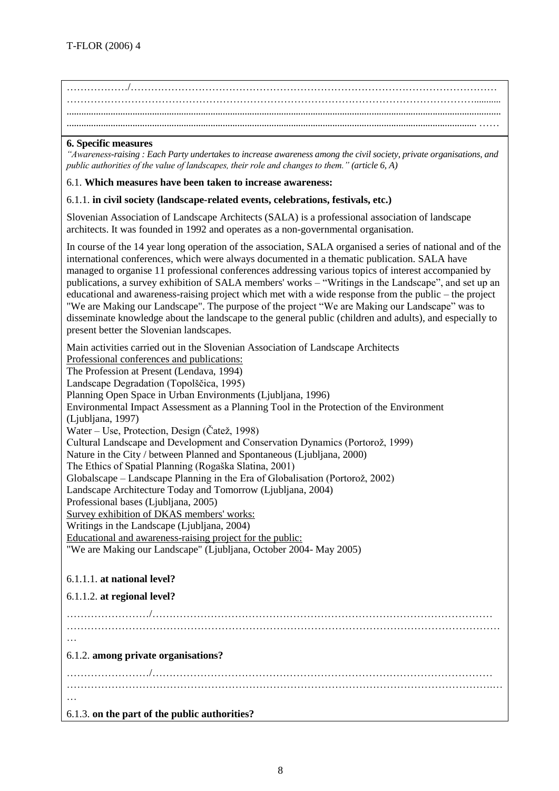………………/……………………………………………………………………………………………… …………………………………………………………………………………………………………........... .................................................................................................................................................................................. ........................................................................................................................................................................ ……

# **6. Specific measures**

*"Awareness-raising : Each Party undertakes to increase awareness among the civil society, private organisations, and public authorities of the value of landscapes, their role and changes to them." (article 6, A)*

6.1. **Which measures have been taken to increase awareness:** 

### 6.1.1. **in civil society (landscape-related events, celebrations, festivals, etc.)**

Slovenian Association of Landscape Architects (SALA) is a professional association of landscape architects. It was founded in 1992 and operates as a non-governmental organisation.

In course of the 14 year long operation of the association, SALA organised a series of national and of the international conferences, which were always documented in a thematic publication. SALA have managed to organise 11 professional conferences addressing various topics of interest accompanied by publications, a survey exhibition of SALA members' works – "Writings in the Landscape", and set up an educational and awareness-raising project which met with a wide response from the public – the project "We are Making our Landscape". The purpose of the project "We are Making our Landscape" was to disseminate knowledge about the landscape to the general public (children and adults), and especially to present better the Slovenian landscapes.

Main activities carried out in the Slovenian Association of Landscape Architects Professional conferences and publications: The Profession at Present (Lendava, 1994) Landscape Degradation (Topolščica, 1995) Planning Open Space in Urban Environments (Ljubljana, 1996) Environmental Impact Assessment as a Planning Tool in the Protection of the Environment (Ljubljana, 1997) Water – Use, Protection, Design (Čatež, 1998) Cultural Landscape and Development and Conservation Dynamics (Portorož, 1999) Nature in the City / between Planned and Spontaneous (Ljubljana, 2000) The Ethics of Spatial Planning (Rogaška Slatina, 2001) [Globalscape](http://www.dkas.si/?id=3,9,66) – Landscape Planning in the Era of Globalisation (Portorož, 2002) Landscape Architecture Today and Tomorrow (Ljubljana, 2004) Professional bases (Ljubljana, 2005) Survey exhibition of DKAS members' works: Writings in the Landscape (Ljubljana, 2004) Educational and awareness-raising project for the public: "We are Making our Landscape" (Ljubljana, October 2004- May 2005) 6.1.1.1. **at national level?** 6.1.1.2. **at regional level?** ……………………/……………………………………………………………………………………… ……………………………………………………………………………………………………………… … 6.1.2. **among private organisations?** …………………………………………………………………………………………………………….… … 6.1.3. **on the part of the public authorities?**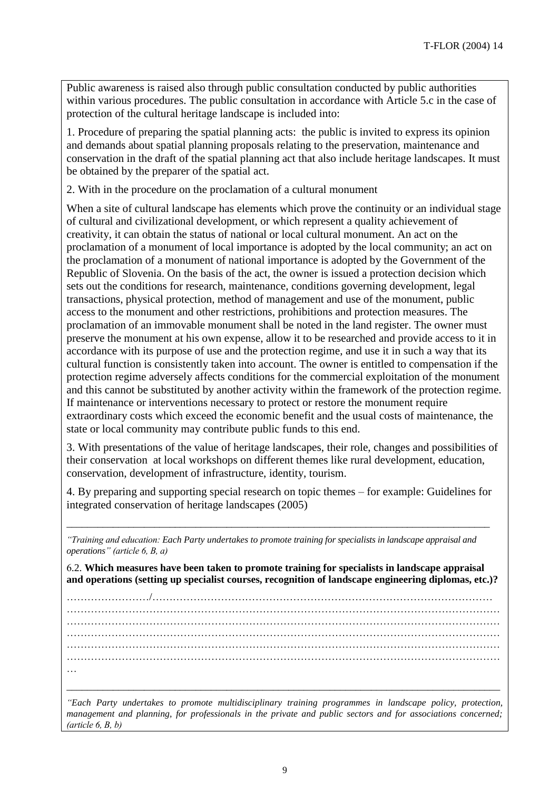Public awareness is raised also through public consultation conducted by public authorities within various procedures. The public consultation in accordance with Article 5.c in the case of protection of the cultural heritage landscape is included into:

1. Procedure of preparing the spatial planning acts: the public is invited to express its opinion and demands about spatial planning proposals relating to the preservation, maintenance and conservation in the draft of the spatial planning act that also include heritage landscapes. It must be obtained by the preparer of the spatial act.

2. With in the procedure on the proclamation of a cultural monument

When a site of cultural landscape has elements which prove the continuity or an individual stage of cultural and civilizational development, or which represent a quality achievement of creativity, it can obtain the status of national or local cultural monument. An act on the proclamation of a monument of local importance is adopted by the local community; an act on the proclamation of a monument of national importance is adopted by the Government of the Republic of Slovenia. On the basis of the act, the owner is issued a protection decision which sets out the conditions for research, maintenance, conditions governing development, legal transactions, physical protection, method of management and use of the monument, public access to the monument and other restrictions, prohibitions and protection measures. The proclamation of an immovable monument shall be noted in the land register. The owner must preserve the monument at his own expense, allow it to be researched and provide access to it in accordance with its purpose of use and the protection regime, and use it in such a way that its cultural function is consistently taken into account. The owner is entitled to compensation if the protection regime adversely affects conditions for the commercial exploitation of the monument and this cannot be substituted by another activity within the framework of the protection regime. If maintenance or interventions necessary to protect or restore the monument require extraordinary costs which exceed the economic benefit and the usual costs of maintenance, the state or local community may contribute public funds to this end.

3. With presentations of the value of heritage landscapes, their role, changes and possibilities of their conservation at local workshops on different themes like rural development, education, conservation, development of infrastructure, identity, tourism.

4. By preparing and supporting special research on topic themes – for example: Guidelines for integrated conservation of heritage landscapes (2005)

\_\_\_\_\_\_\_\_\_\_\_\_\_\_\_\_\_\_\_\_\_\_\_\_\_\_\_\_\_\_\_\_\_\_\_\_\_\_\_\_\_\_\_\_\_\_\_\_\_\_\_\_\_\_\_\_\_\_\_\_\_\_\_\_\_\_\_\_\_\_\_\_\_\_\_\_\_\_\_\_\_\_

*"Training and education: Each Party undertakes to promote training for specialists in landscape appraisal and operations" (article 6, B, a)*

6.2. **Which measures have been taken to promote training for specialists in landscape appraisal and operations (setting up specialist courses, recognition of landscape engineering diplomas, etc.)?**

……………………/……………………………………………………………………………………… ……………………………………………………………………………………………………………… ……………………………………………………………………………………………………………… ……………………………………………………………………………………………………………… ……………………………………………………………………………………………………………… ……………………………………………………………………………………………………………… …

*"Each Party undertakes to promote multidisciplinary training programmes in landscape policy, protection, management and planning, for professionals in the private and public sectors and for associations concerned; (article 6, B, b)*

\_\_\_\_\_\_\_\_\_\_\_\_\_\_\_\_\_\_\_\_\_\_\_\_\_\_\_\_\_\_\_\_\_\_\_\_\_\_\_\_\_\_\_\_\_\_\_\_\_\_\_\_\_\_\_\_\_\_\_\_\_\_\_\_\_\_\_\_\_\_\_\_\_\_\_\_\_\_\_\_\_\_\_\_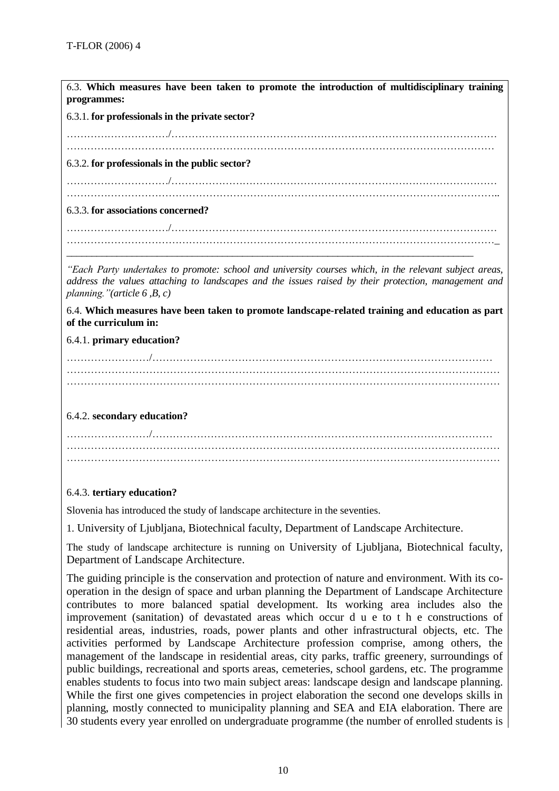6.3. **Which measures have been taken to promote the introduction of multidisciplinary training programmes:**

6.3.1. **for professionals in the private sector?**

…………………………/…………………………………………………………………………………… ……………………………………………………………………………………………………………… 6.3.2. **for professionals in the public sector?** …………………………/…………………………………………………………………………………… ……………………………………………………………………………………………………………….. 6.3.3. **for associations concerned?** …………………………/…………………………………………………………………………………… ………………………………………………………………………………………………………………\_

*"Each Party undertakes to promote: school and university courses which, in the relevant subject areas, address the values attaching to landscapes and the issues raised by their protection, management and planning."(article 6 ,B, c)*

\_\_\_\_\_\_\_\_\_\_\_\_\_\_\_\_\_\_\_\_\_\_\_\_\_\_\_\_\_\_\_\_\_\_\_\_\_\_\_\_\_\_\_\_\_\_\_\_\_\_\_\_\_\_\_\_\_\_\_\_\_\_\_\_\_\_\_\_\_\_\_\_\_\_\_\_\_\_\_\_\_

6.4. **Which measures have been taken to promote landscape-related training and education as part of the curriculum in:**

6.4.1. **primary education?**

……………………/……………………………………………………………………………………… ………………………………………………………………………………………………………………

6.4.2. **secondary education?**

……………………/……………………………………………………………………………………… ……………………………………………………………………………………………………………… ………………………………………………………………………………………………………………

# 6.4.3. **tertiary education?**

Slovenia has introduced the study of landscape architecture in the seventies.

1. University of Ljubljana, Biotechnical faculty, Department of Landscape Architecture.

The study of landscape architecture is running on University of Ljubljana, Biotechnical faculty, Department of Landscape Architecture.

The guiding principle is the conservation and protection of nature and environment. With its cooperation in the design of space and urban planning the Department of Landscape Architecture contributes to more balanced spatial development. Its working area includes also the improvement (sanitation) of devastated areas which occur d u e to t h e constructions of residential areas, industries, roads, power plants and other infrastructural objects, etc. The activities performed by Landscape Architecture profession comprise, among others, the management of the landscape in residential areas, city parks, traffic greenery, surroundings of public buildings, recreational and sports areas, cemeteries, school gardens, etc. The programme enables students to focus into two main subject areas: landscape design and landscape planning. While the first one gives competencies in project elaboration the second one develops skills in planning, mostly connected to municipality planning and SEA and EIA elaboration. There are 30 students every year enrolled on undergraduate programme (the number of enrolled students is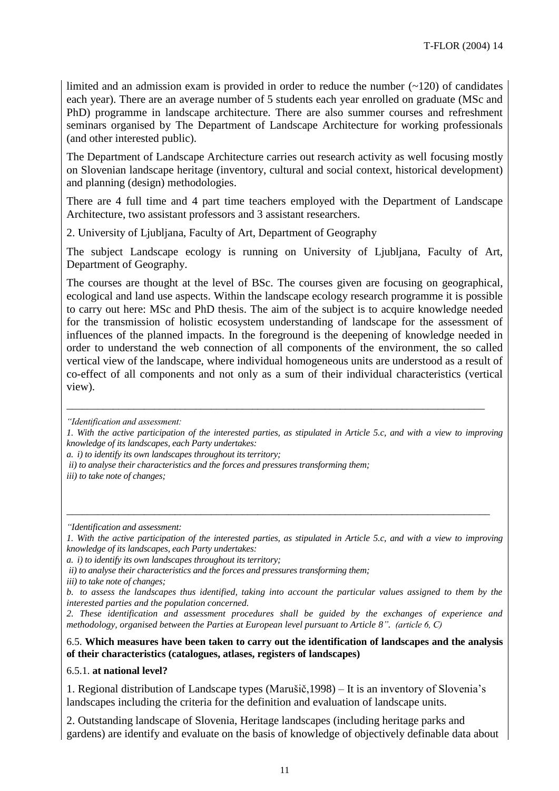limited and an admission exam is provided in order to reduce the number  $(-120)$  of candidates each year). There are an average number of 5 students each year enrolled on graduate (MSc and PhD) programme in landscape architecture. There are also summer courses and refreshment seminars organised by The Department of Landscape Architecture for working professionals (and other interested public).

The Department of Landscape Architecture carries out research activity as well focusing mostly on Slovenian landscape heritage (inventory, cultural and social context, historical development) and planning (design) methodologies.

There are 4 full time and 4 part time teachers employed with the Department of Landscape Architecture, two assistant professors and 3 assistant researchers.

2. University of Ljubljana, Faculty of Art, Department of Geography

The subject Landscape ecology is running on University of Ljubljana, Faculty of Art, Department of Geography.

The courses are thought at the level of BSc. The courses given are focusing on geographical, ecological and land use aspects. Within the landscape ecology research programme it is possible to carry out here: MSc and PhD thesis. The aim of the subject is to acquire knowledge needed for the transmission of holistic ecosystem understanding of landscape for the assessment of influences of the planned impacts. In the foreground is the deepening of knowledge needed in order to understand the web connection of all components of the environment, the so called vertical view of the landscape, where individual homogeneous units are understood as a result of co-effect of all components and not only as a sum of their individual characteristics (vertical view).

\_\_\_\_\_\_\_\_\_\_\_\_\_\_\_\_\_\_\_\_\_\_\_\_\_\_\_\_\_\_\_\_\_\_\_\_\_\_\_\_\_\_\_\_\_\_\_\_\_\_\_\_\_\_\_\_\_\_\_\_\_\_\_\_\_\_\_\_\_\_\_\_\_\_\_\_\_\_\_\_\_

*iii) to take note of changes;*

*"Identification and assessment:*

*1. With the active participation of the interested parties, as stipulated in Article 5.c, and with a view to improving knowledge of its landscapes, each Party undertakes:* 

\_\_\_\_\_\_\_\_\_\_\_\_\_\_\_\_\_\_\_\_\_\_\_\_\_\_\_\_\_\_\_\_\_\_\_\_\_\_\_\_\_\_\_\_\_\_\_\_\_\_\_\_\_\_\_\_\_\_\_\_\_\_\_\_\_\_\_\_\_\_\_\_\_\_\_\_\_\_\_\_\_\_

*a. i) to identify its own landscapes throughout its territory;*

*iii) to take note of changes;*

*2. These identification and assessment procedures shall be guided by the exchanges of experience and methodology, organised between the Parties at European level pursuant to Article 8". (article 6, C)*

6.5. **Which measures have been taken to carry out the identification of landscapes and the analysis of their characteristics (catalogues, atlases, registers of landscapes)**

### 6.5.1. **at national level?**

1. Regional distribution of Landscape types (Marušič,1998) – It is an inventory of Slovenia's landscapes including the criteria for the definition and evaluation of landscape units.

2. Outstanding landscape of Slovenia, Heritage landscapes (including heritage parks and gardens) are identify and evaluate on the basis of knowledge of objectively definable data about

*<sup>&</sup>quot;Identification and assessment:*

*<sup>1.</sup> With the active participation of the interested parties, as stipulated in Article 5.c, and with a view to improving knowledge of its landscapes, each Party undertakes:* 

*a. i) to identify its own landscapes throughout its territory;*

*ii) to analyse their characteristics and the forces and pressures transforming them;*

*ii) to analyse their characteristics and the forces and pressures transforming them;*

*b. to assess the landscapes thus identified, taking into account the particular values assigned to them by the interested parties and the population concerned.*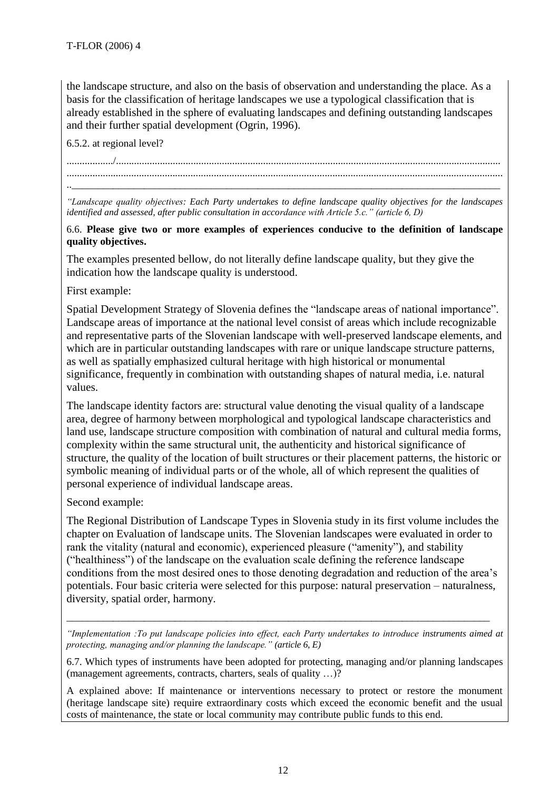the landscape structure, and also on the basis of observation and understanding the place. As a basis for the classification of heritage landscapes we use a typological classification that is already established in the sphere of evaluating landscapes and defining outstanding landscapes and their further spatial development (Ogrin, 1996).

6.5.2. at regional level?

................../..................................................................................................................................................... ......................................................................................................................................................................... ..\_\_\_\_\_\_\_\_\_\_\_\_\_\_\_\_\_\_\_\_\_\_\_\_\_\_\_\_\_\_\_\_\_\_\_\_\_\_\_\_\_\_\_\_\_\_\_\_\_\_\_\_\_\_\_\_\_\_\_\_\_\_\_\_\_\_\_\_\_\_\_\_\_\_\_\_\_\_\_\_\_\_\_

*"Landscape quality objectives: Each Party undertakes to define landscape quality objectives for the landscapes identified and assessed, after public consultation in accordance with Article 5.c." (article 6, D)*

6.6. **Please give two or more examples of experiences conducive to the definition of landscape quality objectives.** 

The examples presented bellow, do not literally define landscape quality, but they give the indication how the landscape quality is understood.

First example:

Spatial Development Strategy of Slovenia defines the "landscape areas of national importance". Landscape areas of importance at the national level consist of areas which include recognizable and representative parts of the Slovenian landscape with well-preserved landscape elements, and which are in particular outstanding landscapes with rare or unique landscape structure patterns, as well as spatially emphasized cultural heritage with high historical or monumental significance, frequently in combination with outstanding shapes of natural media, i.e. natural values.

The landscape identity factors are: structural value denoting the visual quality of a landscape area, degree of harmony between morphological and typological landscape characteristics and land use, landscape structure composition with combination of natural and cultural media forms, complexity within the same structural unit, the authenticity and historical significance of structure, the quality of the location of built structures or their placement patterns, the historic or symbolic meaning of individual parts or of the whole, all of which represent the qualities of personal experience of individual landscape areas.

Second example:

The Regional Distribution of Landscape Types in Slovenia study in its first volume includes the chapter on Evaluation of landscape units. The Slovenian landscapes were evaluated in order to rank the vitality (natural and economic), experienced pleasure ("amenity"), and stability ("healthiness") of the landscape on the evaluation scale defining the reference landscape conditions from the most desired ones to those denoting degradation and reduction of the area's potentials. Four basic criteria were selected for this purpose: natural preservation – naturalness, diversity, spatial order, harmony.

*"Implementation :To put landscape policies into effect, each Party undertakes to introduce instruments aimed at protecting, managing and/or planning the landscape." (article 6, E)*

\_\_\_\_\_\_\_\_\_\_\_\_\_\_\_\_\_\_\_\_\_\_\_\_\_\_\_\_\_\_\_\_\_\_\_\_\_\_\_\_\_\_\_\_\_\_\_\_\_\_\_\_\_\_\_\_\_\_\_\_\_\_\_\_\_\_\_\_\_\_\_\_\_\_\_\_\_\_\_\_\_\_

6.7. Which types of instruments have been adopted for protecting, managing and/or planning landscapes (management agreements, contracts, charters, seals of quality …)?

A explained above: If maintenance or interventions necessary to protect or restore the monument (heritage landscape site) require extraordinary costs which exceed the economic benefit and the usual costs of maintenance, the state or local community may contribute public funds to this end.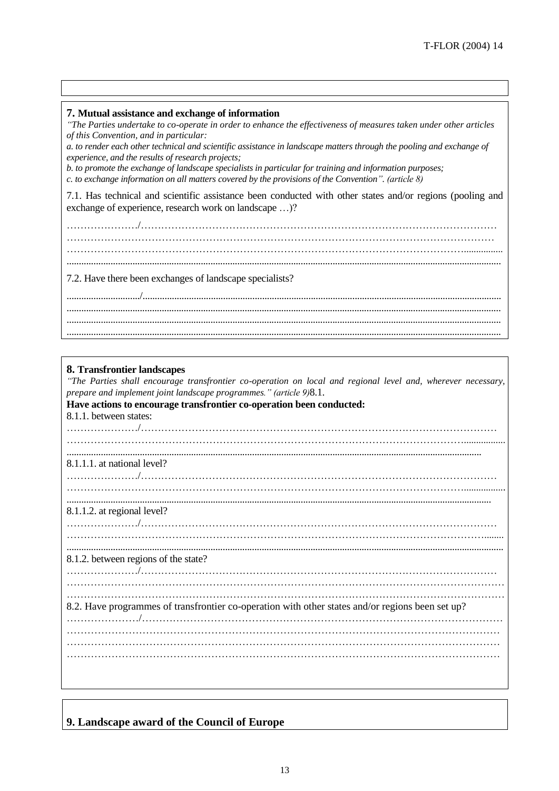# **7. Mutual assistance and exchange of information** *"The Parties undertake to co-operate in order to enhance the effectiveness of measures taken under other articles of this Convention, and in particular: a. to render each other technical and scientific assistance in landscape matters through the pooling and exchange of experience, and the results of research projects; b. to promote the exchange of landscape specialists in particular for training and information purposes; c. to exchange information on all matters covered by the provisions of the Convention". (article 8)* 7.1. Has technical and scientific assistance been conducted with other states and/or regions (pooling and exchange of experience, research work on landscape …)? …………………/…………………………………………………………………………………………… ……………………………………………………………………………………………………………… ………………………………………………………………………………………………………................ .................................................................................................................................................................................. 7.2. Have there been exchanges of landscape specialists? ............................../................................................................................................................................................... .................................................................................................................................................................................. .................................................................................................................................................................................. ..................................................................................................................................................................................

**9. Landscape award of the Council of Europe**